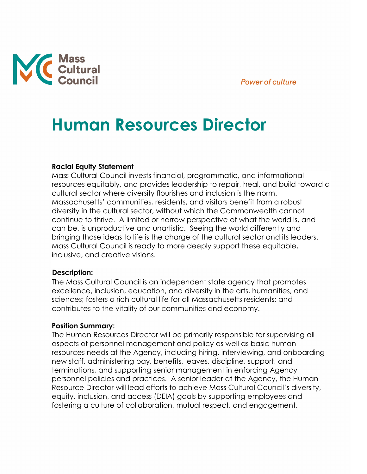## **Power of culture**



# **Human Resources Director**

#### **Racial Equity Statement**

Mass Cultural Council invests financial, programmatic, and informational resources equitably, and provides leadership to repair, heal, and build toward a cultural sector where diversity flourishes and inclusion is the norm. Massachusetts' communities, residents, and visitors benefit from a robust diversity in the cultural sector, without which the Commonwealth cannot continue to thrive. A limited or narrow perspective of what the world is, and can be, is unproductive and unartistic. Seeing the world differently and bringing those ideas to life is the charge of the cultural sector and its leaders. Mass Cultural Council is ready to more deeply support these equitable, inclusive, and creative visions.

#### **Description:**

The Mass Cultural Council is an independent state agency that promotes excellence, inclusion, education, and diversity in the arts, humanities, and sciences; fosters a rich cultural life for all Massachusetts residents; and contributes to the vitality of our communities and economy.

#### **Position Summary:**

The Human Resources Director will be primarily responsible for supervising all aspects of personnel management and policy as well as basic human resources needs at the Agency, including hiring, interviewing, and onboarding new staff, administering pay, benefits, leaves, discipline, support, and terminations, and supporting senior management in enforcing Agency personnel policies and practices. A senior leader at the Agency, the Human Resource Director will lead efforts to achieve Mass Cultural Council's diversity, equity, inclusion, and access (DEIA) goals by supporting employees and fostering a culture of collaboration, mutual respect, and engagement.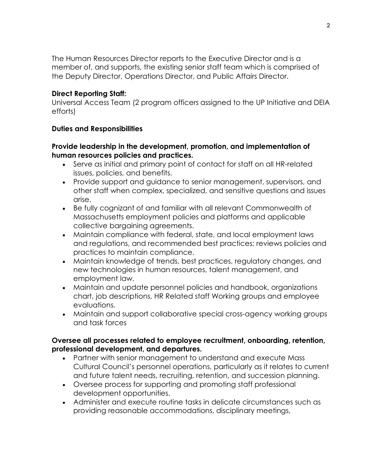The Human Resources Director reports to the Executive Director and is a member of, and supports, the existing senior staff team which is comprised of the Deputy Director, Operations Director, and Public Affairs Director.

## **Direct Reporting Staff:**

Universal Access Team (2 program officers assigned to the UP Initiative and DEIA efforts)

## **Duties and Responsibilities**

## **Provide leadership in the development, promotion, and implementation of human resources policies and practices.**

- Serve as initial and primary point of contact for staff on all HR-related issues, policies, and benefits.
- Provide support and guidance to senior management, supervisors, and other staff when complex, specialized, and sensitive questions and issues arise.
- Be fully cognizant of and familiar with all relevant Commonwealth of Massachusetts employment policies and platforms and applicable collective bargaining agreements.
- Maintain compliance with federal, state, and local employment laws and regulations, and recommended best practices; reviews policies and practices to maintain compliance.
- Maintain knowledge of trends, best practices, regulatory changes, and new technologies in human resources, talent management, and employment law.
- Maintain and update personnel policies and handbook, organizations chart, job descriptions, HR Related staff Working groups and employee evaluations.
- Maintain and support collaborative special cross-agency working groups and task forces

## **Oversee all processes related to employee recruitment, onboarding, retention, professional development, and departures.**

- Partner with senior management to understand and execute Mass Cultural Council's personnel operations, particularly as it relates to current and future talent needs, recruiting, retention, and succession planning.
- Oversee process for supporting and promoting staff professional development opportunities.
- Administer and execute routine tasks in delicate circumstances such as providing reasonable accommodations, disciplinary meetings,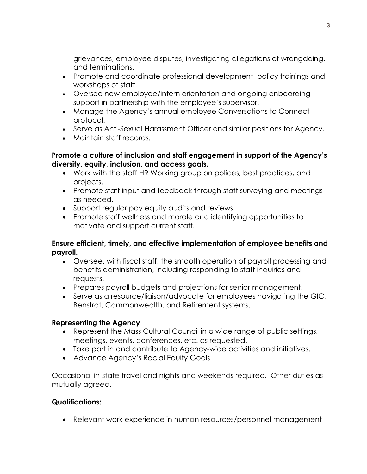grievances, employee disputes, investigating allegations of wrongdoing, and terminations.

- Promote and coordinate professional development, policy trainings and workshops of staff.
- Oversee new employee/intern orientation and ongoing onboarding support in partnership with the employee's supervisor.
- Manage the Agency's annual employee Conversations to Connect protocol.
- Serve as Anti-Sexual Harassment Officer and similar positions for Agency.
- Maintain staff records.

## **Promote a culture of inclusion and staff engagement in support of the Agency's diversity, equity, inclusion, and access goals.**

- Work with the staff HR Working group on polices, best practices, and projects.
- Promote staff input and feedback through staff surveying and meetings as needed.
- Support regular pay equity audits and reviews.
- Promote staff wellness and morale and identifying opportunities to motivate and support current staff.

## **Ensure efficient, timely, and effective implementation of employee benefits and payroll.**

- Oversee, with fiscal staff, the smooth operation of payroll processing and benefits administration, including responding to staff inquiries and requests.
- Prepares payroll budgets and projections for senior management.
- Serve as a resource/liaison/advocate for employees navigating the GIC, Benstrat, Commonwealth, and Retirement systems.

# **Representing the Agency**

- Represent the Mass Cultural Council in a wide range of public settings, meetings, events, conferences, etc. as requested.
- Take part in and contribute to Agency-wide activities and initiatives.
- Advance Agency's Racial Equity Goals.

Occasional in-state travel and nights and weekends required. Other duties as mutually agreed.

# **Qualifications:**

• Relevant work experience in human resources/personnel management